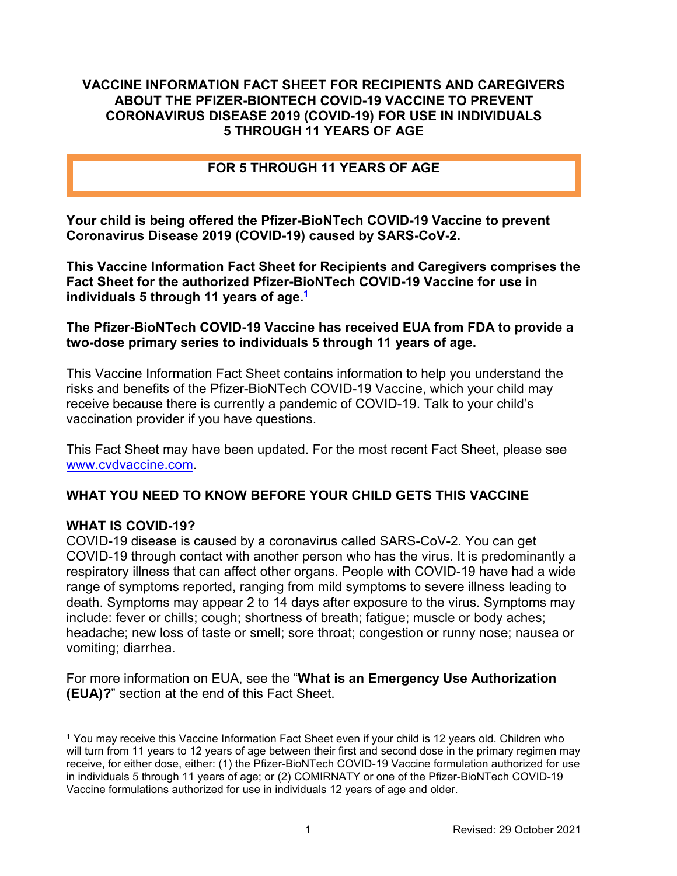### **VACCINE INFORMATION FACT SHEET FOR RECIPIENTS AND CAREGIVERS ABOUT THE PFIZER-BIONTECH COVID-19 VACCINE TO PREVENT CORONAVIRUS DISEASE 2019 (COVID-19) FOR USE IN INDIVIDUALS 5 THROUGH 11 YEARS OF AGE**

### **FOR 5 THROUGH 11 YEARS OF AGE**

**Your child is being offered the Pfizer-BioNTech COVID-19 Vaccine to prevent Coronavirus Disease 2019 (COVID-19) caused by SARS-CoV-2.**

**This Vaccine Information Fact Sheet for Recipients and Caregivers comprises the Fact Sheet for the authorized Pfizer-BioNTech COVID-19 Vaccine for use in individuals 5 through 11 years of age. [1](#page-0-0)**

#### **The Pfizer-BioNTech COVID-19 Vaccine has received EUA from FDA to provide a two-dose primary series to individuals 5 through 11 years of age.**

This Vaccine Information Fact Sheet contains information to help you understand the risks and benefits of the Pfizer-BioNTech COVID-19 Vaccine, which your child may receive because there is currently a pandemic of COVID-19. Talk to your child's vaccination provider if you have questions.

This Fact Sheet may have been updated. For the most recent Fact Sheet, please see [www.cvdvaccine.com.](http://www.cvdvaccine.com/)

# **WHAT YOU NEED TO KNOW BEFORE YOUR CHILD GETS THIS VACCINE**

### **WHAT IS COVID-19?**

 $\overline{a}$ 

COVID-19 disease is caused by a coronavirus called SARS-CoV-2. You can get COVID-19 through contact with another person who has the virus. It is predominantly a respiratory illness that can affect other organs. People with COVID-19 have had a wide range of symptoms reported, ranging from mild symptoms to severe illness leading to death. Symptoms may appear 2 to 14 days after exposure to the virus. Symptoms may include: fever or chills; cough; shortness of breath; fatigue; muscle or body aches; headache; new loss of taste or smell; sore throat; congestion or runny nose; nausea or vomiting; diarrhea.

For more information on EUA, see the "**What is an Emergency Use Authorization (EUA)?**" section at the end of this Fact Sheet.

<span id="page-0-0"></span><sup>1</sup> You may receive this Vaccine Information Fact Sheet even if your child is 12 years old. Children who will turn from 11 years to 12 years of age between their first and second dose in the primary regimen may receive, for either dose, either: (1) the Pfizer-BioNTech COVID-19 Vaccine formulation authorized for use in individuals 5 through 11 years of age; or (2) COMIRNATY or one of the Pfizer-BioNTech COVID-19 Vaccine formulations authorized for use in individuals 12 years of age and older.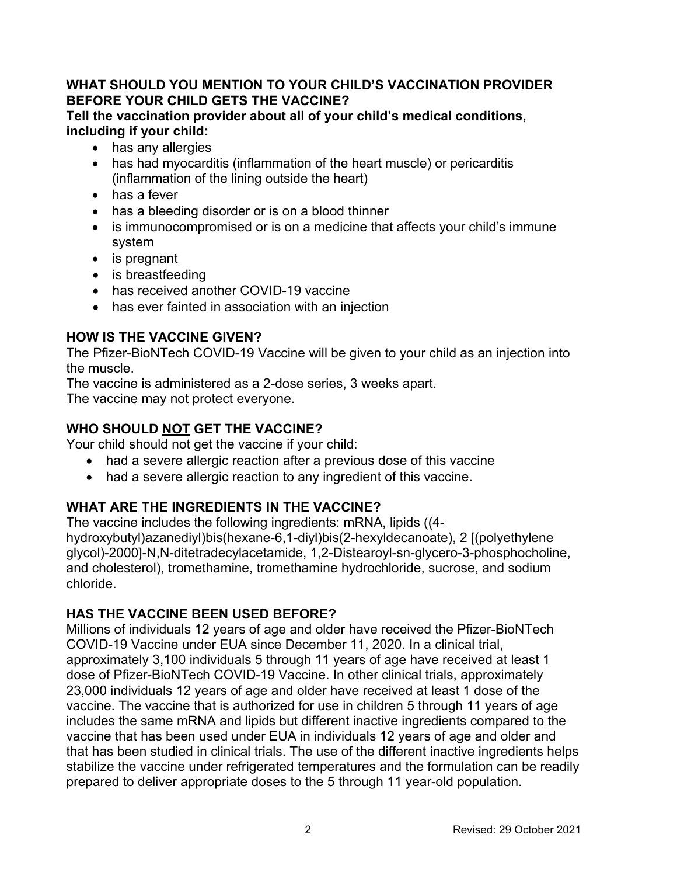## **WHAT SHOULD YOU MENTION TO YOUR CHILD'S VACCINATION PROVIDER BEFORE YOUR CHILD GETS THE VACCINE?**

**Tell the vaccination provider about all of your child's medical conditions, including if your child:**

- has any allergies
- has had myocarditis (inflammation of the heart muscle) or pericarditis (inflammation of the lining outside the heart)
- has a fever
- has a bleeding disorder or is on a blood thinner
- is immunocompromised or is on a medicine that affects your child's immune system
- is pregnant
- is breastfeeding
- has received another COVID-19 vaccine
- has ever fainted in association with an injection

# **HOW IS THE VACCINE GIVEN?**

The Pfizer-BioNTech COVID-19 Vaccine will be given to your child as an injection into the muscle.

The vaccine is administered as a 2-dose series, 3 weeks apart. The vaccine may not protect everyone.

# **WHO SHOULD NOT GET THE VACCINE?**

Your child should not get the vaccine if your child:

- had a severe allergic reaction after a previous dose of this vaccine
- had a severe allergic reaction to any ingredient of this vaccine.

# **WHAT ARE THE INGREDIENTS IN THE VACCINE?**

The vaccine includes the following ingredients: mRNA, lipids ((4 hydroxybutyl)azanediyl)bis(hexane-6,1-diyl)bis(2-hexyldecanoate), 2 [(polyethylene glycol)-2000]-N,N-ditetradecylacetamide, 1,2-Distearoyl-sn-glycero-3-phosphocholine, and cholesterol), tromethamine, tromethamine hydrochloride, sucrose, and sodium chloride.

# **HAS THE VACCINE BEEN USED BEFORE?**

Millions of individuals 12 years of age and older have received the Pfizer-BioNTech COVID-19 Vaccine under EUA since December 11, 2020. In a clinical trial, approximately 3,100 individuals 5 through 11 years of age have received at least 1 dose of Pfizer-BioNTech COVID-19 Vaccine. In other clinical trials, approximately 23,000 individuals 12 years of age and older have received at least 1 dose of the vaccine. The vaccine that is authorized for use in children 5 through 11 years of age includes the same mRNA and lipids but different inactive ingredients compared to the vaccine that has been used under EUA in individuals 12 years of age and older and that has been studied in clinical trials. The use of the different inactive ingredients helps stabilize the vaccine under refrigerated temperatures and the formulation can be readily prepared to deliver appropriate doses to the 5 through 11 year-old population.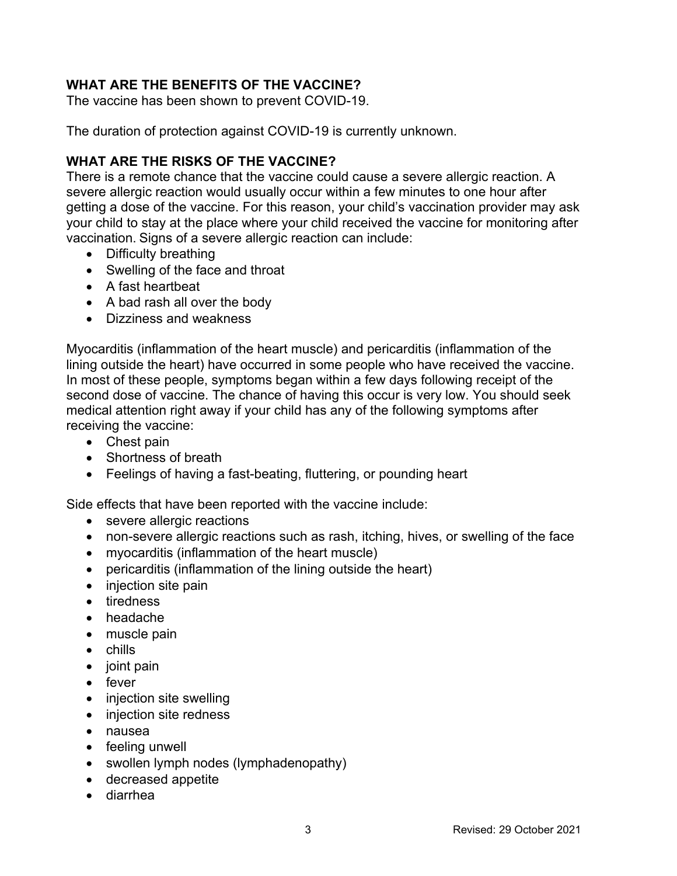# **WHAT ARE THE BENEFITS OF THE VACCINE?**

The vaccine has been shown to prevent COVID-19.

The duration of protection against COVID-19 is currently unknown.

# **WHAT ARE THE RISKS OF THE VACCINE?**

There is a remote chance that the vaccine could cause a severe allergic reaction. A severe allergic reaction would usually occur within a few minutes to one hour after getting a dose of the vaccine. For this reason, your child's vaccination provider may ask your child to stay at the place where your child received the vaccine for monitoring after vaccination. Signs of a severe allergic reaction can include:

- Difficulty breathing
- Swelling of the face and throat
- A fast heartbeat
- A bad rash all over the body
- Dizziness and weakness

Myocarditis (inflammation of the heart muscle) and pericarditis (inflammation of the lining outside the heart) have occurred in some people who have received the vaccine. In most of these people, symptoms began within a few days following receipt of the second dose of vaccine. The chance of having this occur is very low. You should seek medical attention right away if your child has any of the following symptoms after receiving the vaccine:

- Chest pain
- Shortness of breath
- Feelings of having a fast-beating, fluttering, or pounding heart

Side effects that have been reported with the vaccine include:

- severe allergic reactions
- non-severe allergic reactions such as rash, itching, hives, or swelling of the face
- myocarditis (inflammation of the heart muscle)
- pericarditis (inflammation of the lining outside the heart)
- injection site pain
- tiredness
- headache
- muscle pain
- chills
- $\bullet$  joint pain
- $\bullet$  fever
- injection site swelling
- injection site redness
- nausea
- feeling unwell
- swollen lymph nodes (lymphadenopathy)
- decreased appetite
- diarrhea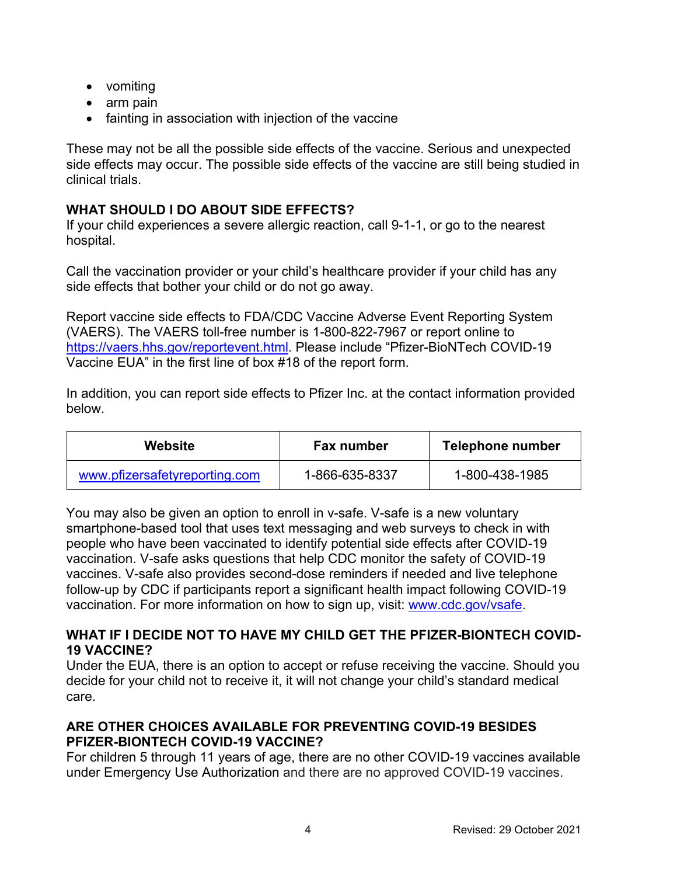- vomiting
- arm pain
- fainting in association with injection of the vaccine

These may not be all the possible side effects of the vaccine. Serious and unexpected side effects may occur. The possible side effects of the vaccine are still being studied in clinical trials.

# **WHAT SHOULD I DO ABOUT SIDE EFFECTS?**

If your child experiences a severe allergic reaction, call 9-1-1, or go to the nearest hospital.

Call the vaccination provider or your child's healthcare provider if your child has any side effects that bother your child or do not go away.

Report vaccine side effects to FDA/CDC Vaccine Adverse Event Reporting System (VAERS). The VAERS toll-free number is 1-800-822-7967 or report online to [https://vaers.hhs.gov/reportevent.html.](https://vaers.hhs.gov/reportevent.html) Please include "Pfizer-BioNTech COVID-19 Vaccine EUA" in the first line of box #18 of the report form.

In addition, you can report side effects to Pfizer Inc. at the contact information provided below.

| Website                       | <b>Fax number</b> | Telephone number |
|-------------------------------|-------------------|------------------|
| www.pfizersafetyreporting.com | 1-866-635-8337    | 1-800-438-1985   |

You may also be given an option to enroll in v-safe. V-safe is a new voluntary smartphone-based tool that uses text messaging and web surveys to check in with people who have been vaccinated to identify potential side effects after COVID-19 vaccination. V-safe asks questions that help CDC monitor the safety of COVID-19 vaccines. V-safe also provides second-dose reminders if needed and live telephone follow-up by CDC if participants report a significant health impact following COVID-19 vaccination. For more information on how to sign up, visit: [www.cdc.gov/vsafe](https://urldefense.proofpoint.com/v2/url?u=http-3A__www.cdc.gov_vsafe&d=DwMF-g&c=UE1eNsedaKncO0Yl_u8bfw&r=iggimxFo1bnCoTNHtFHht7zBjWLmMD5xyYOHusHEMRA&m=NUusRcDWxrAYwskpVPikFjIp1YMB1upPlqmEqHLqywo&s=ZgZDg3kpZyGQV82QCF-MKAMdQ9UDWQqf3K-6eMVizRE&e=).

### **WHAT IF I DECIDE NOT TO HAVE MY CHILD GET THE PFIZER-BIONTECH COVID-19 VACCINE?**

Under the EUA, there is an option to accept or refuse receiving the vaccine. Should you decide for your child not to receive it, it will not change your child's standard medical care.

# **ARE OTHER CHOICES AVAILABLE FOR PREVENTING COVID-19 BESIDES PFIZER-BIONTECH COVID-19 VACCINE?**

For children 5 through 11 years of age, there are no other COVID-19 vaccines available under Emergency Use Authorization and there are no approved COVID-19 vaccines.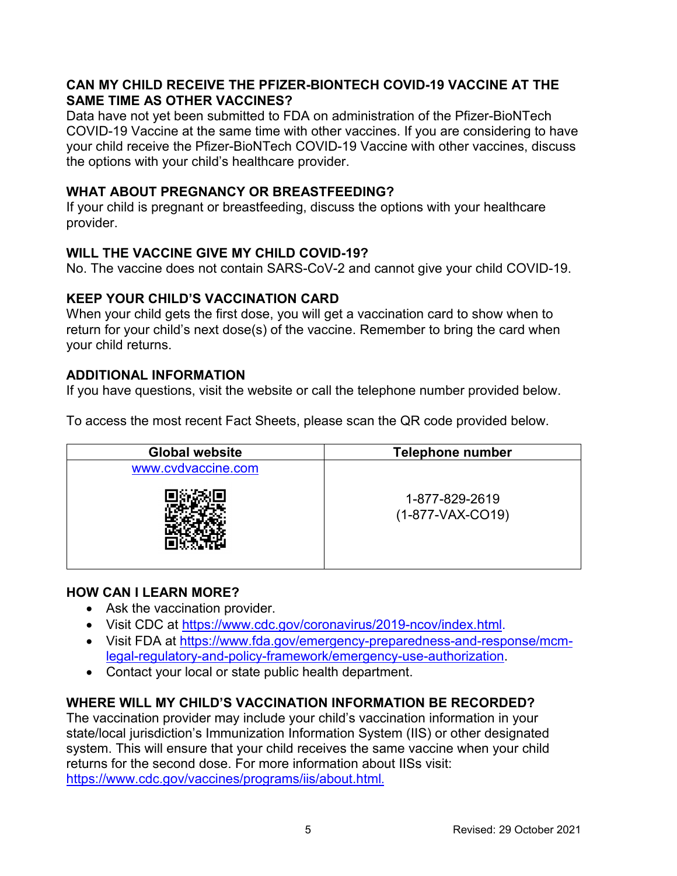## **CAN MY CHILD RECEIVE THE PFIZER-BIONTECH COVID-19 VACCINE AT THE SAME TIME AS OTHER VACCINES?**

Data have not yet been submitted to FDA on administration of the Pfizer-BioNTech COVID-19 Vaccine at the same time with other vaccines. If you are considering to have your child receive the Pfizer-BioNTech COVID-19 Vaccine with other vaccines, discuss the options with your child's healthcare provider.

### **WHAT ABOUT PREGNANCY OR BREASTFEEDING?**

If your child is pregnant or breastfeeding, discuss the options with your healthcare provider.

# **WILL THE VACCINE GIVE MY CHILD COVID-19?**

No. The vaccine does not contain SARS-CoV-2 and cannot give your child COVID-19.

### **KEEP YOUR CHILD'S VACCINATION CARD**

When your child gets the first dose, you will get a vaccination card to show when to return for your child's next dose(s) of the vaccine. Remember to bring the card when your child returns.

### **ADDITIONAL INFORMATION**

If you have questions, visit the website or call the telephone number provided below.

To access the most recent Fact Sheets, please scan the QR code provided below.

| <b>Global website</b> | <b>Telephone number</b>              |  |
|-----------------------|--------------------------------------|--|
| www.cvdvaccine.com    |                                      |  |
|                       | 1-877-829-2619<br>$(1-877-VAX-CO19)$ |  |

### **HOW CAN I LEARN MORE?**

- Ask the vaccination provider.
- Visit CDC at <https://www.cdc.gov/coronavirus/2019-ncov/index.html>.
- Visit FDA at [https://www.fda.gov/emergency-preparedness-and-response/mcm](https://www.fda.gov/emergency-preparedness-and-response/mcm-legal-regulatory-and-policy-framework/emergency-use-authorization)[legal-regulatory-and-policy-framework/emergency-use-authorization](https://www.fda.gov/emergency-preparedness-and-response/mcm-legal-regulatory-and-policy-framework/emergency-use-authorization).
- Contact your local or state public health department.

# **WHERE WILL MY CHILD'S VACCINATION INFORMATION BE RECORDED?**

The vaccination provider may include your child's vaccination information in your state/local jurisdiction's Immunization Information System (IIS) or other designated system. This will ensure that your child receives the same vaccine when your child returns for the second dose. For more information about IISs visit: <https://www.cdc.gov/vaccines/programs/iis/about.html>.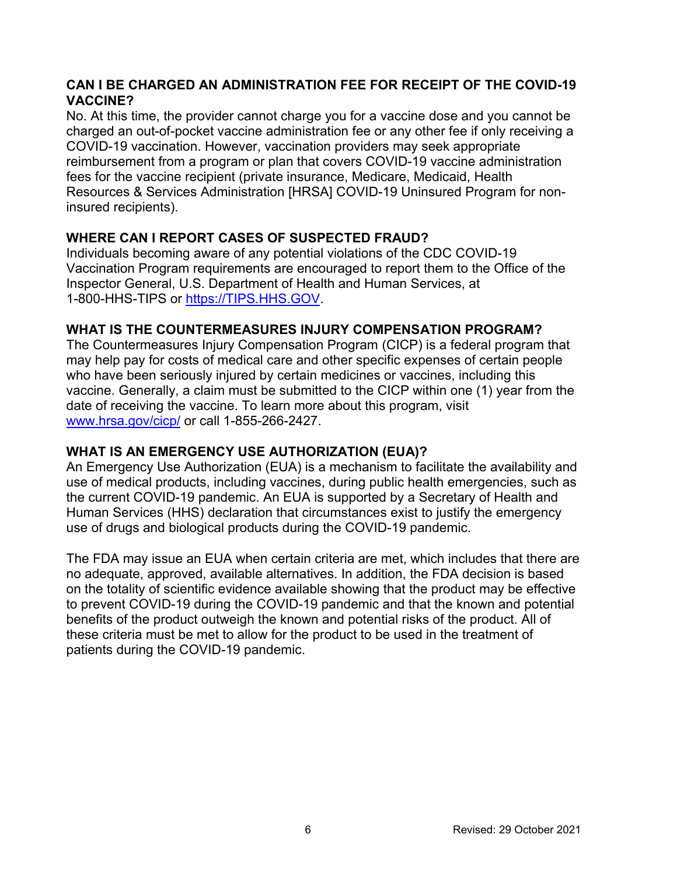# **CAN I BE CHARGED AN ADMINISTRATION FEE FOR RECEIPT OF THE COVID-19 VACCINE?**

No. At this time, the provider cannot charge you for a vaccine dose and you cannot be charged an out-of-pocket vaccine administration fee or any other fee if only receiving a COVID-19 vaccination. However, vaccination providers may seek appropriate reimbursement from a program or plan that covers COVID-19 vaccine administration fees for the vaccine recipient (private insurance, Medicare, Medicaid, Health Resources & Services Administration [HRSA] COVID-19 Uninsured Program for noninsured recipients).

# **WHERE CAN I REPORT CASES OF SUSPECTED FRAUD?**

Individuals becoming aware of any potential violations of the CDC COVID-19 Vaccination Program requirements are encouraged to report them to the Office of the Inspector General, U.S. Department of Health and Human Services, at 1-800-HHS-TIPS or [https://TIPS.HHS.GOV](https://tips.hhs.gov/).

### **WHAT IS THE COUNTERMEASURES INJURY COMPENSATION PROGRAM?**

The Countermeasures Injury Compensation Program (CICP) is a federal program that may help pay for costs of medical care and other specific expenses of certain people who have been seriously injured by certain medicines or vaccines, including this vaccine. Generally, a claim must be submitted to the CICP within one (1) year from the date of receiving the vaccine. To learn more about this program, visit [www.hrsa.gov/cicp/](http://www.hrsa.gov/cicp/) or call 1-855-266-2427.

# **WHAT IS AN EMERGENCY USE AUTHORIZATION (EUA)?**

An Emergency Use Authorization (EUA) is a mechanism to facilitate the availability and use of medical products, including vaccines, during public health emergencies, such as the current COVID-19 pandemic. An EUA is supported by a Secretary of Health and Human Services (HHS) declaration that circumstances exist to justify the emergency use of drugs and biological products during the COVID-19 pandemic.

The FDA may issue an EUA when certain criteria are met, which includes that there are no adequate, approved, available alternatives. In addition, the FDA decision is based on the totality of scientific evidence available showing that the product may be effective to prevent COVID-19 during the COVID-19 pandemic and that the known and potential benefits of the product outweigh the known and potential risks of the product. All of these criteria must be met to allow for the product to be used in the treatment of patients during the COVID-19 pandemic.